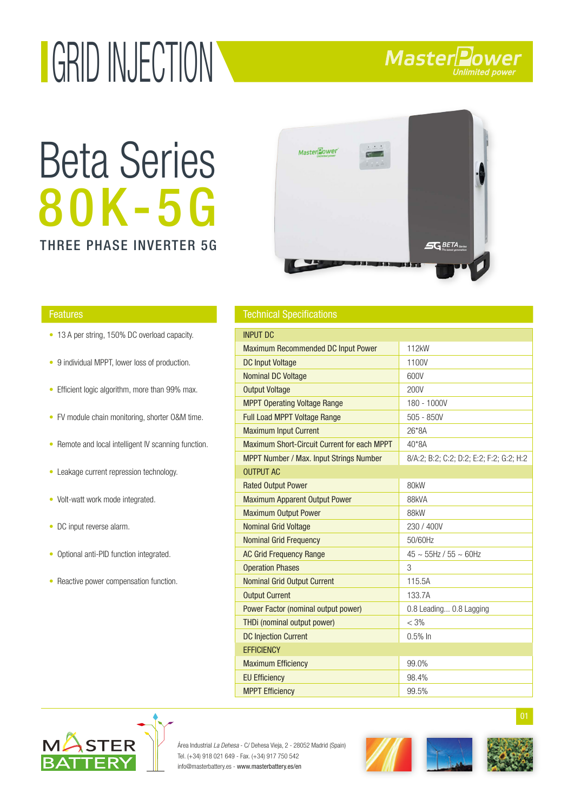# GRID INJECTION

### 80K-5G Beta Series





- 13 A per string, 150% DC overload capacity.
- 9 individual MPPT, lower loss of production.
- Efficient logic algorithm, more than 99% max.
- FV module chain monitoring, shorter O&M time.
- Remote and local intelligent IV scanning function.
- Leakage current repression technology. •
- Volt-watt work mode integrated.
- DC input reverse alarm.
- Optional anti-PID function integrated.
- Reactive power compensation function.

| <b>Features</b> | <b>Technical Specifications</b> |
|-----------------|---------------------------------|
|-----------------|---------------------------------|

| <b>INPUT DC</b>                                |                                          |
|------------------------------------------------|------------------------------------------|
| <b>Maximum Recommended DC Input Power</b>      | 112kW                                    |
| <b>DC Input Voltage</b>                        | 1100V                                    |
| <b>Nominal DC Voltage</b>                      | 600V                                     |
| <b>Output Voltage</b>                          | 200V                                     |
| <b>MPPT Operating Voltage Range</b>            | 180 - 1000V                              |
| <b>Full Load MPPT Voltage Range</b>            | $505 - 850V$                             |
| <b>Maximum Input Current</b>                   | 26*8A                                    |
| Maximum Short-Circuit Current for each MPPT    | 40*8A                                    |
| <b>MPPT Number / Max. Input Strings Number</b> | 8/A:2; B:2; C:2; D:2; E:2; F:2; G:2; H:2 |
| <b>OUTPUT AC</b>                               |                                          |
| <b>Rated Output Power</b>                      | 80 <sub>k</sub> W                        |
| <b>Maximum Apparent Output Power</b>           | 88kVA                                    |
| <b>Maximum Output Power</b>                    | 88kW                                     |
| <b>Nominal Grid Voltage</b>                    | 230 / 400V                               |
| <b>Nominal Grid Frequency</b>                  | 50/60Hz                                  |
| <b>AC Grid Frequency Range</b>                 | $45 \sim 55$ Hz / $55 \sim 60$ Hz        |
| <b>Operation Phases</b>                        | 3                                        |
| <b>Nominal Grid Output Current</b>             | 115.5A                                   |
| <b>Output Current</b>                          | 133.7A                                   |
| Power Factor (nominal output power)            | 0.8 Leading 0.8 Lagging                  |
| THDi (nominal output power)                    | $<$ 3%                                   |
| <b>DC Injection Current</b>                    | $0.5%$ In                                |
| <b>EFFICIENCY</b>                              |                                          |
| <b>Maximum Efficiency</b>                      | 99.0%                                    |
| <b>EU Efficiency</b>                           | 98.4%                                    |
| <b>MPPT Efficiency</b>                         | 99.5%                                    |



Área Industrial La Dehesa - C/ Dehesa Vieja, 2 - 28052 Madrid (Spain) Tel. (+34) 918 021 649 - Fax. (+34) 917 750 542 info@masterbattery.es - www.masterbattery.es/en